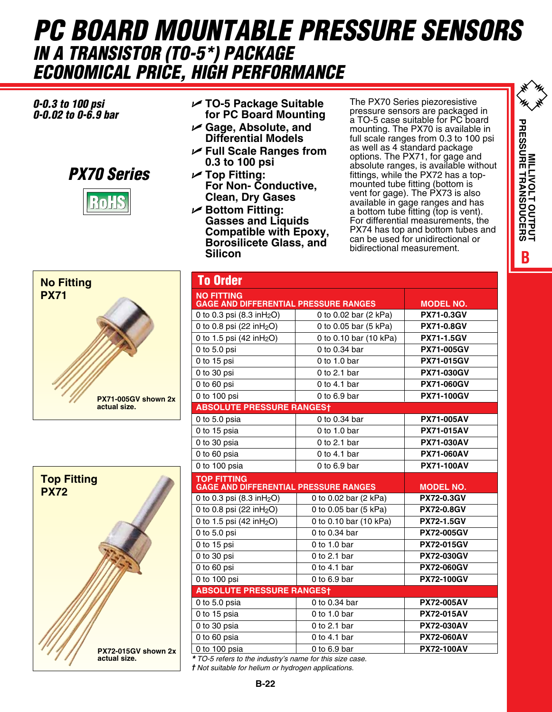## *PC BOARD MOUNTABLE PRESSURE SENSORS in a Transistor (to-5\*) PACKAGE economical price, High Performance*

## *0-0.3 to 100 psi 0-0.02 to 0-6.9 bar*



- U **TO-5 Package Suitable for PC Board Mounting**
- U **Gage, Absolute, and Differential Models**
- U **Full Scale Ranges from 0.3 to 100 psi**
- U **Top Fitting: For Non- Conductive, Clean, Dry Gases**
- U **Bottom Fitting: Gasses and Liquids Compatible with Epoxy, Borosilicete Glass, and Silicon**

The PX70 Series piezoresistive pressure sensors are packaged in a TO-5 case suitable for PC board mounting. The PX70 is available in full scale ranges from 0.3 to 100 psi as well as 4 standard package options. The PX71, for gage and absolute ranges, is available without fittings, while the PX72 has a topmounted tube fitting (bottom is vent for gage). The PX73 is also available in gage ranges and has a bottom tube fitting (top is vent). For differential measurements, the PX74 has top and bottom tubes and can be used for unidirectional or bidirectional measurement.

**BMILLIVOLT OUTPUT PRESSURE TRANSDUCERS**

**TUPUT OUTPUT**<br>PRESSURE TRANSDUCERS





| <b>To Order</b>                                          |                        |                   |
|----------------------------------------------------------|------------------------|-------------------|
| <b>NO FITTING</b>                                        |                        |                   |
| <b>GAGE AND DIFFERENTIAL PRESSURE RANGES</b>             |                        | <b>MODEL NO.</b>  |
| 0 to 0.3 psi (8.3 inH <sub>2</sub> O)                    | 0 to 0.02 bar (2 kPa)  | <b>PX71-0.3GV</b> |
| 0 to 0.8 psi (22 inH <sub>2</sub> O)                     | 0 to 0.05 bar (5 kPa)  | <b>PX71-0.8GV</b> |
| 0 to 1.5 psi (42 inH <sub>2</sub> O)                     | 0 to 0.10 bar (10 kPa) | <b>PX71-1.5GV</b> |
| 0 to 5.0 psi                                             | 0 to 0.34 bar          | <b>PX71-005GV</b> |
| 0 to 15 psi                                              | 0 to 1.0 bar           | <b>PX71-015GV</b> |
| 0 to 30 psi                                              | 0 to $2.1$ bar         | <b>PX71-030GV</b> |
| 0 to 60 psi                                              | 0 to 4.1 bar           | <b>PX71-060GV</b> |
| 0 to 100 psi                                             | $0$ to $6.9$ bar       | <b>PX71-100GV</b> |
| <b>ABSOLUTE PRESSURE RANGEST</b>                         |                        |                   |
| 0 to 5.0 psia                                            | 0 to 0.34 bar          | <b>PX71-005AV</b> |
| 0 to 15 psia                                             | 0 to 1.0 bar           | <b>PX71-015AV</b> |
| 0 to 30 psia                                             | 0 to $2.1$ bar         | <b>PX71-030AV</b> |
| 0 to 60 psia                                             | 0 to 4.1 bar           | <b>PX71-060AV</b> |
| 0 to 100 psia                                            | 0 to $6.9$ bar         | <b>PX71-100AV</b> |
| <b>TOP FITTING</b>                                       |                        |                   |
| <b>GAGE AND DIFFERENTIAL PRESSURE RANGES</b>             | <b>MODEL NO.</b>       |                   |
| 0 to 0.3 psi $(8.3 \text{ in } H_2O)$                    | 0 to 0.02 bar (2 kPa)  | <b>PX72-0.3GV</b> |
| 0 to 0.8 psi (22 inH <sub>2</sub> O)                     | 0 to 0.05 bar (5 kPa)  | <b>PX72-0.8GV</b> |
| 0 to 1.5 psi (42 inH <sub>2</sub> O)                     | 0 to 0.10 bar (10 kPa) | <b>PX72-1.5GV</b> |
| $0$ to 5.0 psi                                           | 0 to 0.34 bar          | <b>PX72-005GV</b> |
| 0 to 15 psi                                              | 0 to 1.0 bar           | <b>PX72-015GV</b> |
| 0 to 30 psi                                              | $0$ to 2.1 bar         | <b>PX72-030GV</b> |
| 0 to 60 psi                                              | 0 to 4.1 bar           | <b>PX72-060GV</b> |
| 0 to 100 psi                                             | 0 to 6.9 bar           | <b>PX72-100GV</b> |
| <b>ABSOLUTE PRESSURE RANGEST</b>                         |                        |                   |
| 0 to 5.0 psia                                            | 0 to 0.34 bar          | <b>PX72-005AV</b> |
| 0 to 15 psia                                             | $0$ to 1.0 bar         | <b>PX72-015AV</b> |
| 0 to 30 psia                                             | 0 to $2.1$ bar         | <b>PX72-030AV</b> |
| 0 to 60 psia                                             | 0 to 4.1 bar           | <b>PX72-060AV</b> |
| 0 to 100 psia                                            | 0 to 6.9 bar           | <b>PX72-100AV</b> |
| * TO-5 refers to the industry's name for this size case. |                        |                   |

*† Not suitable for helium or hydrogen applications.*